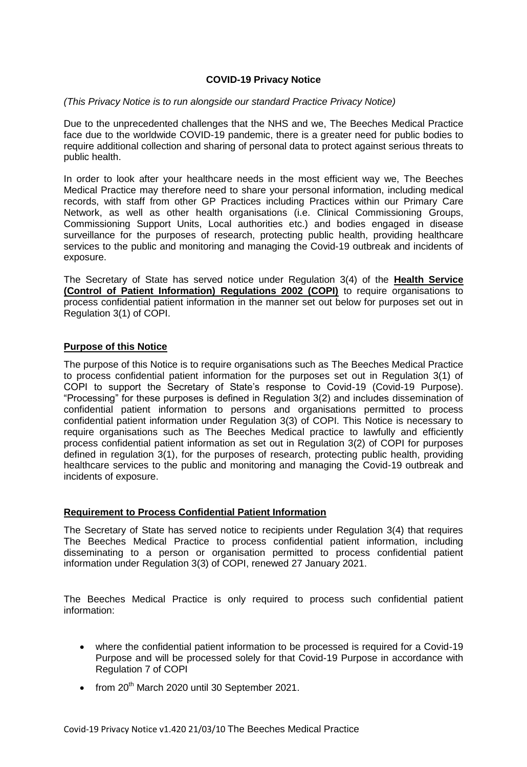# **COVID-19 Privacy Notice**

## *(This Privacy Notice is to run alongside our standard Practice Privacy Notice)*

Due to the unprecedented challenges that the NHS and we, The Beeches Medical Practice face due to the worldwide COVID-19 pandemic, there is a greater need for public bodies to require additional collection and sharing of personal data to protect against serious threats to public health.

In order to look after your healthcare needs in the most efficient way we, The Beeches Medical Practice may therefore need to share your personal information, including medical records, with staff from other GP Practices including Practices within our Primary Care Network, as well as other health organisations (i.e. Clinical Commissioning Groups, Commissioning Support Units, Local authorities etc.) and bodies engaged in disease surveillance for the purposes of research, protecting public health, providing healthcare services to the public and monitoring and managing the Covid-19 outbreak and incidents of exposure.

The Secretary of State has served notice under Regulation 3(4) of the **Health Service (Control of Patient Information) Regulations 2002 (COPI)** to require organisations to process confidential patient information in the manner set out below for purposes set out in Regulation 3(1) of COPI.

# **Purpose of this Notice**

The purpose of this Notice is to require organisations such as The Beeches Medical Practice to process confidential patient information for the purposes set out in Regulation 3(1) of COPI to support the Secretary of State's response to Covid-19 (Covid-19 Purpose). "Processing" for these purposes is defined in Regulation 3(2) and includes dissemination of confidential patient information to persons and organisations permitted to process confidential patient information under Regulation 3(3) of COPI. This Notice is necessary to require organisations such as The Beeches Medical practice to lawfully and efficiently process confidential patient information as set out in Regulation 3(2) of COPI for purposes defined in regulation 3(1), for the purposes of research, protecting public health, providing healthcare services to the public and monitoring and managing the Covid-19 outbreak and incidents of exposure.

## **Requirement to Process Confidential Patient Information**

The Secretary of State has served notice to recipients under Regulation 3(4) that requires The Beeches Medical Practice to process confidential patient information, including disseminating to a person or organisation permitted to process confidential patient information under Regulation 3(3) of COPI, renewed 27 January 2021.

The Beeches Medical Practice is only required to process such confidential patient information:

- where the confidential patient information to be processed is required for a Covid-19 Purpose and will be processed solely for that Covid-19 Purpose in accordance with Regulation 7 of COPI
- $\bullet$  from 20<sup>th</sup> March 2020 until 30 September 2021.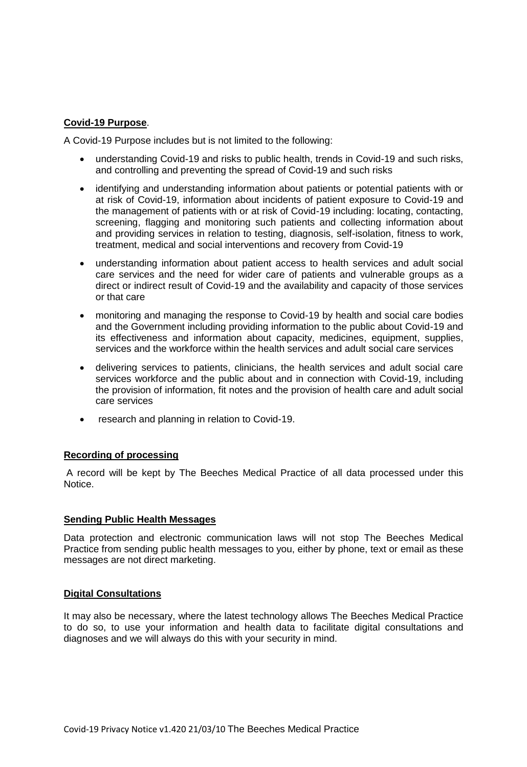## **Covid-19 Purpose**.

A Covid-19 Purpose includes but is not limited to the following:

- understanding Covid-19 and risks to public health, trends in Covid-19 and such risks, and controlling and preventing the spread of Covid-19 and such risks
- identifying and understanding information about patients or potential patients with or at risk of Covid-19, information about incidents of patient exposure to Covid-19 and the management of patients with or at risk of Covid-19 including: locating, contacting, screening, flagging and monitoring such patients and collecting information about and providing services in relation to testing, diagnosis, self-isolation, fitness to work, treatment, medical and social interventions and recovery from Covid-19
- understanding information about patient access to health services and adult social care services and the need for wider care of patients and vulnerable groups as a direct or indirect result of Covid-19 and the availability and capacity of those services or that care
- monitoring and managing the response to Covid-19 by health and social care bodies and the Government including providing information to the public about Covid-19 and its effectiveness and information about capacity, medicines, equipment, supplies, services and the workforce within the health services and adult social care services
- delivering services to patients, clinicians, the health services and adult social care services workforce and the public about and in connection with Covid-19, including the provision of information, fit notes and the provision of health care and adult social care services
- research and planning in relation to Covid-19.

## **Recording of processing**

A record will be kept by The Beeches Medical Practice of all data processed under this Notice.

## **Sending Public Health Messages**

Data protection and electronic communication laws will not stop The Beeches Medical Practice from sending public health messages to you, either by phone, text or email as these messages are not direct marketing.

## **Digital Consultations**

It may also be necessary, where the latest technology allows The Beeches Medical Practice to do so, to use your information and health data to facilitate digital consultations and diagnoses and we will always do this with your security in mind.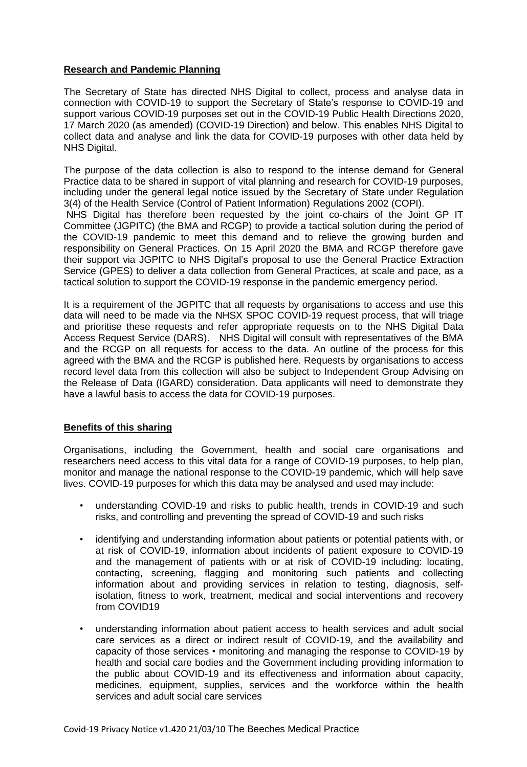# **Research and Pandemic Planning**

The Secretary of State has directed NHS Digital to collect, process and analyse data in connection with COVID-19 to support the Secretary of State's response to COVID-19 and support various COVID-19 purposes set out in the COVID-19 Public Health Directions 2020, 17 March 2020 (as amended) (COVID-19 Direction) and below. This enables NHS Digital to collect data and analyse and link the data for COVID-19 purposes with other data held by NHS Digital.

The purpose of the data collection is also to respond to the intense demand for General Practice data to be shared in support of vital planning and research for COVID-19 purposes, including under the general legal notice issued by the Secretary of State under Regulation 3(4) of the Health Service (Control of Patient Information) Regulations 2002 (COPI). NHS Digital has therefore been requested by the joint co-chairs of the Joint GP IT

Committee (JGPITC) (the BMA and RCGP) to provide a tactical solution during the period of the COVID-19 pandemic to meet this demand and to relieve the growing burden and responsibility on General Practices. On 15 April 2020 the BMA and RCGP therefore gave their support via JGPITC to NHS Digital's proposal to use the General Practice Extraction Service (GPES) to deliver a data collection from General Practices, at scale and pace, as a tactical solution to support the COVID-19 response in the pandemic emergency period.

It is a requirement of the JGPITC that all requests by organisations to access and use this data will need to be made via the NHSX SPOC COVID-19 request process, that will triage and prioritise these requests and refer appropriate requests on to the NHS Digital Data Access Request Service (DARS). NHS Digital will consult with representatives of the BMA and the RCGP on all requests for access to the data. An outline of the process for this agreed with the BMA and the RCGP is published here. Requests by organisations to access record level data from this collection will also be subject to Independent Group Advising on the Release of Data (IGARD) consideration. Data applicants will need to demonstrate they have a lawful basis to access the data for COVID-19 purposes.

## **Benefits of this sharing**

Organisations, including the Government, health and social care organisations and researchers need access to this vital data for a range of COVID-19 purposes, to help plan, monitor and manage the national response to the COVID-19 pandemic, which will help save lives. COVID-19 purposes for which this data may be analysed and used may include:

- understanding COVID-19 and risks to public health, trends in COVID-19 and such risks, and controlling and preventing the spread of COVID-19 and such risks
- identifying and understanding information about patients or potential patients with, or at risk of COVID-19, information about incidents of patient exposure to COVID-19 and the management of patients with or at risk of COVID-19 including: locating, contacting, screening, flagging and monitoring such patients and collecting information about and providing services in relation to testing, diagnosis, selfisolation, fitness to work, treatment, medical and social interventions and recovery from COVID19
- understanding information about patient access to health services and adult social care services as a direct or indirect result of COVID-19, and the availability and capacity of those services • monitoring and managing the response to COVID-19 by health and social care bodies and the Government including providing information to the public about COVID-19 and its effectiveness and information about capacity, medicines, equipment, supplies, services and the workforce within the health services and adult social care services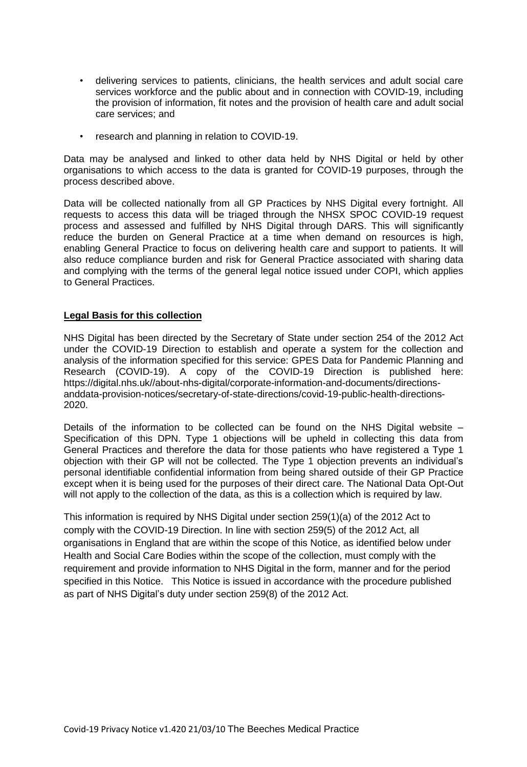- delivering services to patients, clinicians, the health services and adult social care services workforce and the public about and in connection with COVID-19, including the provision of information, fit notes and the provision of health care and adult social care services; and
- research and planning in relation to COVID-19.

Data may be analysed and linked to other data held by NHS Digital or held by other organisations to which access to the data is granted for COVID-19 purposes, through the process described above.

Data will be collected nationally from all GP Practices by NHS Digital every fortnight. All requests to access this data will be triaged through the NHSX SPOC COVID-19 request process and assessed and fulfilled by NHS Digital through DARS. This will significantly reduce the burden on General Practice at a time when demand on resources is high, enabling General Practice to focus on delivering health care and support to patients. It will also reduce compliance burden and risk for General Practice associated with sharing data and complying with the terms of the general legal notice issued under COPI, which applies to General Practices.

# **Legal Basis for this collection**

NHS Digital has been directed by the Secretary of State under section 254 of the 2012 Act under the COVID-19 Direction to establish and operate a system for the collection and analysis of the information specified for this service: GPES Data for Pandemic Planning and Research (COVID-19). A copy of the COVID-19 Direction is published here: https://digital.nhs.uk//about-nhs-digital/corporate-information-and-documents/directionsanddata-provision-notices/secretary-of-state-directions/covid-19-public-health-directions-2020.

Details of the information to be collected can be found on the NHS Digital website – Specification of this DPN. Type 1 objections will be upheld in collecting this data from General Practices and therefore the data for those patients who have registered a Type 1 objection with their GP will not be collected. The Type 1 objection prevents an individual's personal identifiable confidential information from being shared outside of their GP Practice except when it is being used for the purposes of their direct care. The National Data Opt-Out will not apply to the collection of the data, as this is a collection which is required by law.

This information is required by NHS Digital under section 259(1)(a) of the 2012 Act to comply with the COVID-19 Direction. In line with section 259(5) of the 2012 Act, all organisations in England that are within the scope of this Notice, as identified below under Health and Social Care Bodies within the scope of the collection, must comply with the requirement and provide information to NHS Digital in the form, manner and for the period specified in this Notice. This Notice is issued in accordance with the procedure published as part of NHS Digital's duty under section 259(8) of the 2012 Act.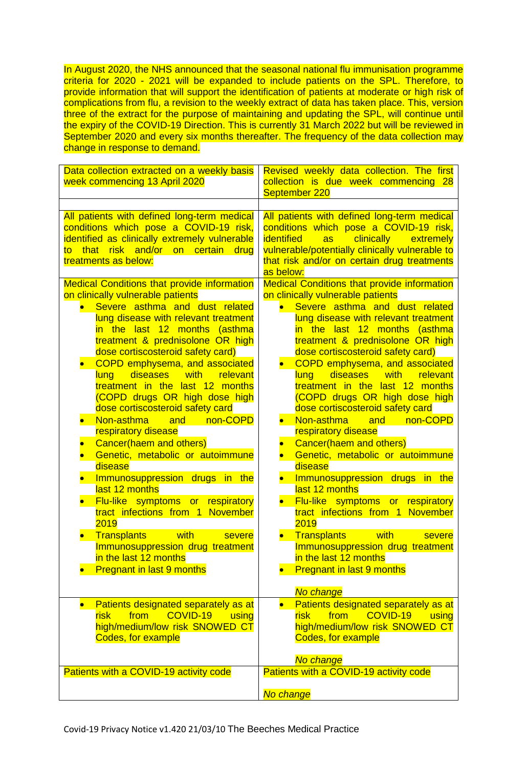In August 2020, the NHS announced that the seasonal national flu immunisation programme criteria for 2020 - 2021 will be expanded to include patients on the SPL. Therefore, to provide information that will support the identification of patients at moderate or high risk of complications from flu, a revision to the weekly extract of data has taken place. This, version three of the extract for the purpose of maintaining and updating the SPL, will continue until the expiry of the COVID-19 Direction. This is currently 31 March 2022 but will be reviewed in September 2020 and every six months thereafter. The frequency of the data collection may change in response to demand.

| Data collection extracted on a weekly basis<br>week commencing 13 April 2020                                                                                                                                                                                                                                                                                                                                                                                                                                                                                                                                                                                                                                                                                                                                                                                                                                                                             | Revised weekly data collection. The first<br>collection is due week commencing 28<br>September 220                                                                                                                                                                                                                                                                                                                                                                                                                                                                                                                                                                                                                                                                                                                                                                                                                                                     |
|----------------------------------------------------------------------------------------------------------------------------------------------------------------------------------------------------------------------------------------------------------------------------------------------------------------------------------------------------------------------------------------------------------------------------------------------------------------------------------------------------------------------------------------------------------------------------------------------------------------------------------------------------------------------------------------------------------------------------------------------------------------------------------------------------------------------------------------------------------------------------------------------------------------------------------------------------------|--------------------------------------------------------------------------------------------------------------------------------------------------------------------------------------------------------------------------------------------------------------------------------------------------------------------------------------------------------------------------------------------------------------------------------------------------------------------------------------------------------------------------------------------------------------------------------------------------------------------------------------------------------------------------------------------------------------------------------------------------------------------------------------------------------------------------------------------------------------------------------------------------------------------------------------------------------|
| All patients with defined long-term medical<br>conditions which pose a COVID-19 risk,<br>identified as clinically extremely vulnerable<br>that risk and/or on certain<br>drug<br>to<br>treatments as below:<br><b>Medical Conditions that provide information</b>                                                                                                                                                                                                                                                                                                                                                                                                                                                                                                                                                                                                                                                                                        | All patients with defined long-term medical<br>conditions which pose a COVID-19 risk,<br>clinically<br><i><b>identified</b></i><br>as<br>extremely<br>vulnerable/potentially clinically vulnerable to<br>that risk and/or on certain drug treatments<br>as below:<br><b>Medical Conditions that provide information</b>                                                                                                                                                                                                                                                                                                                                                                                                                                                                                                                                                                                                                                |
| on clinically vulnerable patients<br>Severe asthma and dust related<br>lung disease with relevant treatment<br>in the last 12 months<br>(asthma<br>treatment & prednisolone OR high<br>dose cortiscosteroid safety card)<br>COPD emphysema, and associated<br>with <b>with</b><br>lung diseases<br>relevant<br>treatment in the last 12 months<br>(COPD drugs OR high dose high<br>dose cortiscosteroid safety card<br>Non-asthma<br>and<br>non-COPD<br>respiratory disease<br>Cancer(haem and others)<br>Genetic, metabolic or autoimmune<br>disease<br>Immunosuppression drugs in the<br>last 12 months<br>Flu-like symptoms or respiratory<br>tract infections from 1 November<br>2019<br>with<br><b>Transplants</b><br>severe<br>Immunosuppression drug treatment<br>in the last 12 months<br><b>Pregnant in last 9 months</b><br>Patients designated separately as at<br>COVID-19<br>from<br><b>risk</b><br>using<br>high/medium/low risk SNOWED CT | on clinically vulnerable patients<br>Severe asthma and dust related<br>lung disease with relevant treatment<br>in the last 12 months<br>(asthma<br>treatment & prednisolone OR high<br>dose cortiscosteroid safety card)<br>COPD emphysema, and associated<br>lung diseases with<br>relevant<br>treatment in the last 12 months<br>(COPD drugs OR high dose high<br>dose cortiscosteroid safety card<br>Non-asthma<br>and non-COPD<br>$\bullet$<br>respiratory disease<br>Cancer(haem and others)<br>Genetic, metabolic or autoimmune<br>disease<br>Immunosuppression drugs in the<br>last 12 months<br>Flu-like symptoms or respiratory<br>tract infections from 1 November<br>2019<br><b>Transplants</b> with<br>severe<br>Immunosuppression drug treatment<br>in the last 12 months<br><b>Pregnant in last 9 months</b><br>No change<br>Patients designated separately as at<br>COVID-19<br>risk<br>from<br>using<br>high/medium/low risk SNOWED CT |
| <b>Codes, for example</b>                                                                                                                                                                                                                                                                                                                                                                                                                                                                                                                                                                                                                                                                                                                                                                                                                                                                                                                                | Codes, for example<br>No change                                                                                                                                                                                                                                                                                                                                                                                                                                                                                                                                                                                                                                                                                                                                                                                                                                                                                                                        |
| Patients with a COVID-19 activity code                                                                                                                                                                                                                                                                                                                                                                                                                                                                                                                                                                                                                                                                                                                                                                                                                                                                                                                   | Patients with a COVID-19 activity code<br>No change                                                                                                                                                                                                                                                                                                                                                                                                                                                                                                                                                                                                                                                                                                                                                                                                                                                                                                    |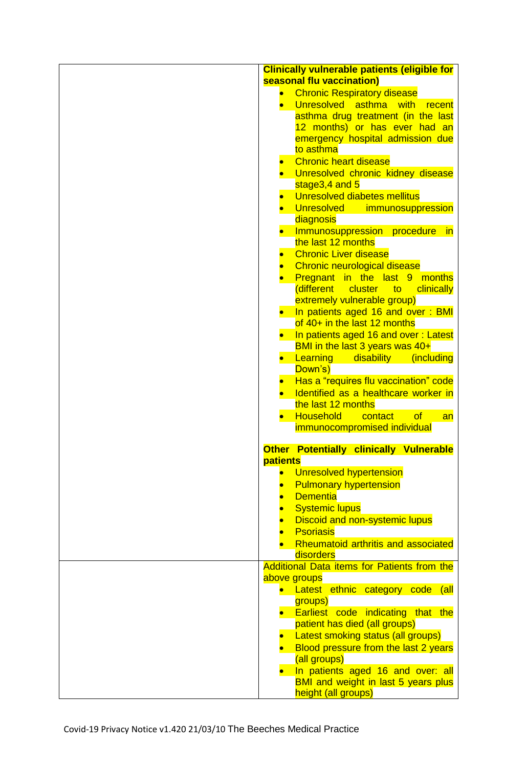|                 | <b>Clinically vulnerable patients (eligible for</b>            |
|-----------------|----------------------------------------------------------------|
|                 | seasonal flu vaccination)                                      |
|                 | <b>Chronic Respiratory disease</b>                             |
|                 | Unresolved<br>asthma<br>with<br>recent                         |
|                 | asthma drug treatment (in the last                             |
|                 | 12 months) or has ever had an                                  |
|                 | emergency hospital admission due                               |
|                 | to asthma                                                      |
|                 | <b>Chronic heart disease</b>                                   |
|                 | Unresolved chronic kidney disease                              |
|                 | stage3,4 and 5                                                 |
|                 | Unresolved diabetes mellitus                                   |
|                 | <b>Unresolved</b><br>immunosuppression                         |
|                 | diagnosis                                                      |
|                 | Immunosuppression procedure<br><u>in</u><br>the last 12 months |
|                 | <b>Chronic Liver disease</b>                                   |
|                 | Chronic neurological disease                                   |
|                 | Pregnant in the last 9 months                                  |
|                 | different cluster<br><u>to</u><br>clinically                   |
|                 | extremely vulnerable group)                                    |
|                 | In patients aged 16 and over: BMI                              |
|                 | of $40+$ in the last 12 months                                 |
|                 | In patients aged 16 and over: Latest                           |
|                 | BMI in the last 3 years was 40+                                |
|                 | <b>Learning</b> disability (including                          |
|                 | Down's)                                                        |
|                 | Has a "requires flu vaccination" code                          |
|                 | Identified as a healthcare worker in                           |
|                 | the last 12 months                                             |
|                 | <b>Household</b><br>of<br><b>Contact</b><br>an                 |
|                 | immunocompromised individual                                   |
| <b>patients</b> | Other Potentially clinically Vulnerable                        |
|                 | Unresolved hypertension                                        |
|                 | <b>Pulmonary hypertension</b>                                  |
|                 | <b>Dementia</b>                                                |
|                 | <b>Systemic lupus</b>                                          |
|                 | <b>Discoid and non-systemic lupus</b>                          |
|                 | <b>Psoriasis</b>                                               |
|                 | Rheumatoid arthritis and associated<br>disorders               |
|                 | Additional Data items for Patients from the                    |
| above groups    |                                                                |
|                 | • Latest ethnic category code (all                             |
|                 | groups)                                                        |
|                 | • Earliest code indicating that the                            |
|                 | patient has died (all groups)                                  |
|                 | Latest smoking status (all groups)                             |
|                 | Blood pressure from the last 2 years                           |
|                 | (all groups)                                                   |
|                 | In patients aged 16 and over: all                              |
|                 | BMI and weight in last 5 years plus                            |
|                 | height (all groups)                                            |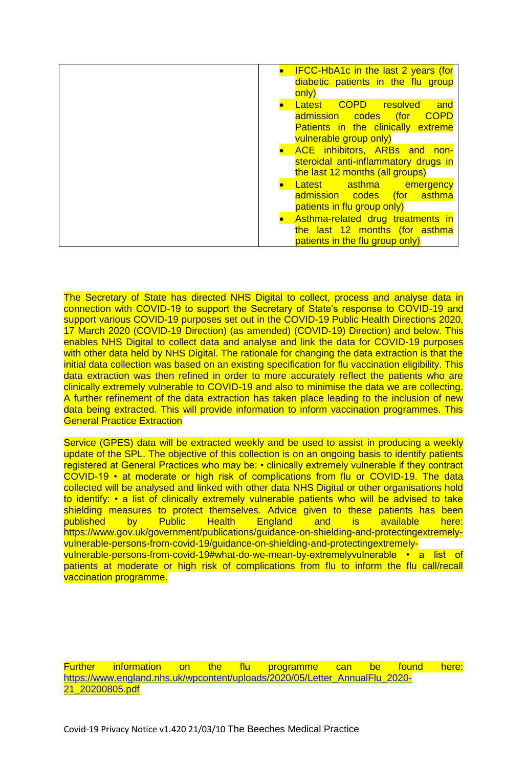| <b>IFCC-HbA1c in the last 2 years (for</b> |
|--------------------------------------------|
| diabetic patients in the flu group         |
| only)                                      |
| Latest COPD resolved<br>and                |
| <b>COPD</b><br>(for<br>admission codes     |
| Patients in the clinically extreme         |
| vulnerable group only)                     |
| <b>ACE</b> inhibitors, ARBs and non-       |
| steroidal anti-inflammatory drugs in       |
| the last 12 months (all groups)            |
| Latest asthma emergency                    |
|                                            |
| admission codes (for asthma                |
| patients in flu group only)                |
| Asthma-related drug treatments in          |
| the last 12 months (for asthma             |
| patients in the flu group only)            |

The Secretary of State has directed NHS Digital to collect, process and analyse data in connection with COVID-19 to support the Secretary of State's response to COVID-19 and support various COVID-19 purposes set out in the COVID-19 Public Health Directions 2020, 17 March 2020 (COVID-19 Direction) (as amended) (COVID-19) Direction) and below. This enables NHS Digital to collect data and analyse and link the data for COVID-19 purposes with other data held by NHS Digital. The rationale for changing the data extraction is that the initial data collection was based on an existing specification for flu vaccination eligibility. This data extraction was then refined in order to more accurately reflect the patients who are clinically extremely vulnerable to COVID-19 and also to minimise the data we are collecting. A further refinement of the data extraction has taken place leading to the inclusion of new data being extracted. This will provide information to inform vaccination programmes. This General Practice Extraction

Service (GPES) data will be extracted weekly and be used to assist in producing a weekly update of the SPL. The objective of this collection is on an ongoing basis to identify patients registered at General Practices who may be: • clinically extremely vulnerable if they contract COVID-19 • at moderate or high risk of complications from flu or COVID-19. The data collected will be analysed and linked with other data NHS Digital or other organisations hold to identify: • a list of clinically extremely vulnerable patients who will be advised to take shielding measures to protect themselves. Advice given to these patients has been published by Public Health England and is available here: https://www.gov.uk/government/publications/guidance-on-shielding-and-protectingextremelyvulnerable-persons-from-covid-19/guidance-on-shielding-and-protectingextremelyvulnerable-persons-from-covid-19#what-do-we-mean-by-extremelyvulnerable • a list of patients at moderate or high risk of complications from flu to inform the flu call/recall vaccination programme.

Further information on the flu programme can be found here: [https://www.england.nhs.uk/wpcontent/uploads/2020/05/Letter\\_AnnualFlu\\_2020-](https://www.england.nhs.uk/wpcontent/uploads/2020/05/Letter_AnnualFlu_2020-21_20200805.pdf) [21\\_20200805.pdf](https://www.england.nhs.uk/wpcontent/uploads/2020/05/Letter_AnnualFlu_2020-21_20200805.pdf)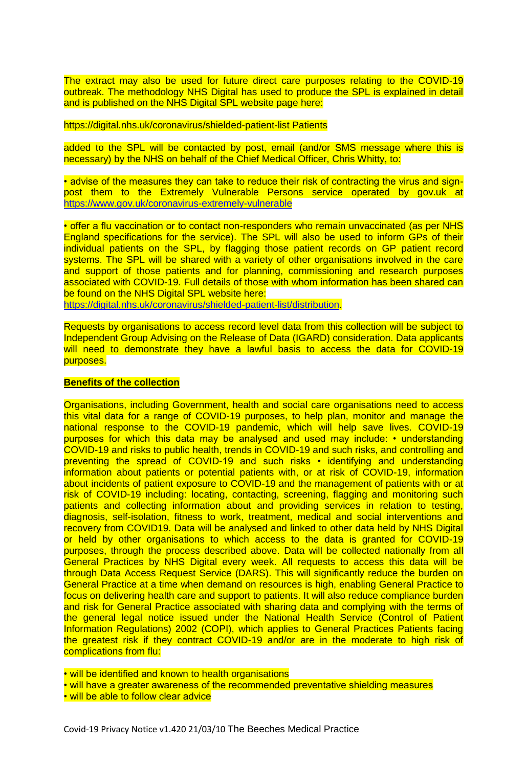The extract may also be used for future direct care purposes relating to the COVID-19 outbreak. The methodology NHS Digital has used to produce the SPL is explained in detail and is published on the NHS Digital SPL website page here:

#### https://digital.nhs.uk/coronavirus/shielded-patient-list Patients

added to the SPL will be contacted by post, email (and/or SMS message where this is necessary) by the NHS on behalf of the Chief Medical Officer, Chris Whitty, to:

• advise of the measures they can take to reduce their risk of contracting the virus and signpost them to the Extremely Vulnerable Persons service operated by gov.uk at <https://www.gov.uk/coronavirus-extremely-vulnerable>

• offer a flu vaccination or to contact non-responders who remain unvaccinated (as per NHS England specifications for the service). The SPL will also be used to inform GPs of their individual patients on the SPL, by flagging those patient records on GP patient record systems. The SPL will be shared with a variety of other organisations involved in the care and support of those patients and for planning, commissioning and research purposes associated with COVID-19. Full details of those with whom information has been shared can be found on the NHS Digital SPL website here:

[https://digital.nhs.uk/coronavirus/shielded-patient-list/distribution.](https://digital.nhs.uk/coronavirus/shielded-patient-list/distribution)

Requests by organisations to access record level data from this collection will be subject to Independent Group Advising on the Release of Data (IGARD) consideration. Data applicants will need to demonstrate they have a lawful basis to access the data for COVID-19 purposes.

### **Benefits of the collection**

Organisations, including Government, health and social care organisations need to access this vital data for a range of COVID-19 purposes, to help plan, monitor and manage the national response to the COVID-19 pandemic, which will help save lives. COVID-19 purposes for which this data may be analysed and used may include: • understanding COVID-19 and risks to public health, trends in COVID-19 and such risks, and controlling and preventing the spread of COVID-19 and such risks • identifying and understanding information about patients or potential patients with, or at risk of COVID-19, information about incidents of patient exposure to COVID-19 and the management of patients with or at risk of COVID-19 including: locating, contacting, screening, flagging and monitoring such patients and collecting information about and providing services in relation to testing, diagnosis, self-isolation, fitness to work, treatment, medical and social interventions and recovery from COVID19. Data will be analysed and linked to other data held by NHS Digital or held by other organisations to which access to the data is granted for COVID-19 purposes, through the process described above. Data will be collected nationally from all General Practices by NHS Digital every week. All requests to access this data will be through Data Access Request Service (DARS). This will significantly reduce the burden on General Practice at a time when demand on resources is high, enabling General Practice to focus on delivering health care and support to patients. It will also reduce compliance burden and risk for General Practice associated with sharing data and complying with the terms of the general legal notice issued under the National Health Service (Control of Patient Information Regulations) 2002 (COPI), which applies to General Practices Patients facing the greatest risk if they contract COVID-19 and/or are in the moderate to high risk of complications from flu:

• will be identified and known to health organisations

• will have a greater awareness of the recommended preventative shielding measures

• will be able to follow clear advice